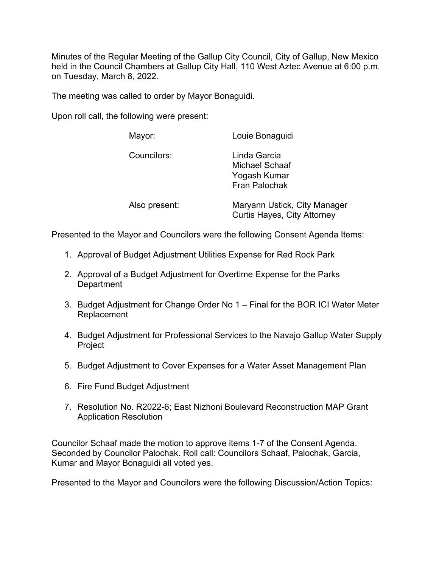Minutes of the Regular Meeting of the Gallup City Council, City of Gallup, New Mexico held in the Council Chambers at Gallup City Hall, 110 West Aztec Avenue at 6:00 p.m. on Tuesday, March 8, 2022.

The meeting was called to order by Mayor Bonaguidi.

Upon roll call, the following were present:

| Mayor:        | Louie Bonaguidi                                                               |
|---------------|-------------------------------------------------------------------------------|
| Councilors:   | Linda Garcia<br><b>Michael Schaaf</b><br>Yogash Kumar<br><b>Fran Palochak</b> |
| Also present: | Maryann Ustick, City Manager<br><b>Curtis Hayes, City Attorney</b>            |

Presented to the Mayor and Councilors were the following Consent Agenda Items:

- 1. Approval of Budget Adjustment Utilities Expense for Red Rock Park
- 2. Approval of a Budget Adjustment for Overtime Expense for the Parks **Department**
- 3. Budget Adjustment for Change Order No 1 Final for the BOR ICI Water Meter Replacement
- 4. Budget Adjustment for Professional Services to the Navajo Gallup Water Supply Project
- 5. Budget Adjustment to Cover Expenses for a Water Asset Management Plan
- 6. Fire Fund Budget Adjustment
- 7. Resolution No. R2022-6; East Nizhoni Boulevard Reconstruction MAP Grant Application Resolution

Councilor Schaaf made the motion to approve items 1-7 of the Consent Agenda. Seconded by Councilor Palochak. Roll call: Councilors Schaaf, Palochak, Garcia, Kumar and Mayor Bonaguidi all voted yes.

Presented to the Mayor and Councilors were the following Discussion/Action Topics: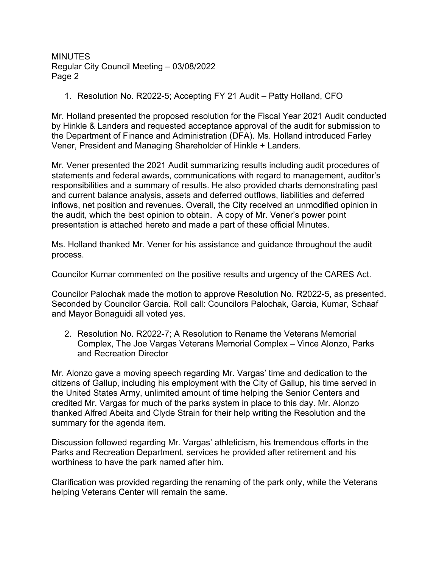1. Resolution No. R2022-5; Accepting FY 21 Audit – Patty Holland, CFO

Mr. Holland presented the proposed resolution for the Fiscal Year 2021 Audit conducted by Hinkle & Landers and requested acceptance approval of the audit for submission to the Department of Finance and Administration (DFA). Ms. Holland introduced Farley Vener, President and Managing Shareholder of Hinkle + Landers.

Mr. Vener presented the 2021 Audit summarizing results including audit procedures of statements and federal awards, communications with regard to management, auditor's responsibilities and a summary of results. He also provided charts demonstrating past and current balance analysis, assets and deferred outflows, liabilities and deferred inflows, net position and revenues. Overall, the City received an unmodified opinion in the audit, which the best opinion to obtain. A copy of Mr. Vener's power point presentation is attached hereto and made a part of these official Minutes.

Ms. Holland thanked Mr. Vener for his assistance and guidance throughout the audit process.

Councilor Kumar commented on the positive results and urgency of the CARES Act.

Councilor Palochak made the motion to approve Resolution No. R2022-5, as presented. Seconded by Councilor Garcia. Roll call: Councilors Palochak, Garcia, Kumar, Schaaf and Mayor Bonaguidi all voted yes.

2. Resolution No. R2022-7; A Resolution to Rename the Veterans Memorial Complex, The Joe Vargas Veterans Memorial Complex – Vince Alonzo, Parks and Recreation Director

Mr. Alonzo gave a moving speech regarding Mr. Vargas' time and dedication to the citizens of Gallup, including his employment with the City of Gallup, his time served in the United States Army, unlimited amount of time helping the Senior Centers and credited Mr. Vargas for much of the parks system in place to this day. Mr. Alonzo thanked Alfred Abeita and Clyde Strain for their help writing the Resolution and the summary for the agenda item.

Discussion followed regarding Mr. Vargas' athleticism, his tremendous efforts in the Parks and Recreation Department, services he provided after retirement and his worthiness to have the park named after him.

Clarification was provided regarding the renaming of the park only, while the Veterans helping Veterans Center will remain the same.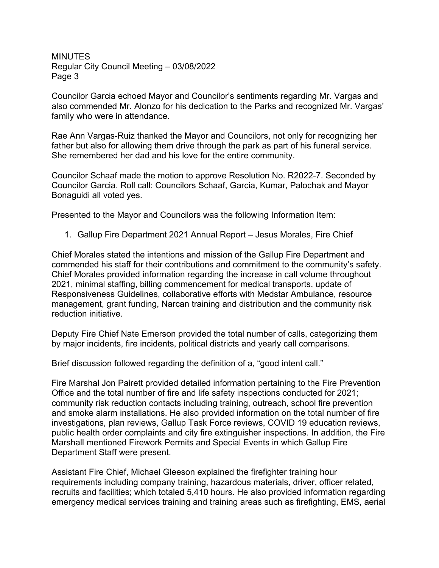Councilor Garcia echoed Mayor and Councilor's sentiments regarding Mr. Vargas and also commended Mr. Alonzo for his dedication to the Parks and recognized Mr. Vargas' family who were in attendance.

Rae Ann Vargas-Ruiz thanked the Mayor and Councilors, not only for recognizing her father but also for allowing them drive through the park as part of his funeral service. She remembered her dad and his love for the entire community.

Councilor Schaaf made the motion to approve Resolution No. R2022-7. Seconded by Councilor Garcia. Roll call: Councilors Schaaf, Garcia, Kumar, Palochak and Mayor Bonaguidi all voted yes.

Presented to the Mayor and Councilors was the following Information Item:

1. Gallup Fire Department 2021 Annual Report – Jesus Morales, Fire Chief

Chief Morales stated the intentions and mission of the Gallup Fire Department and commended his staff for their contributions and commitment to the community's safety. Chief Morales provided information regarding the increase in call volume throughout 2021, minimal staffing, billing commencement for medical transports, update of Responsiveness Guidelines, collaborative efforts with Medstar Ambulance, resource management, grant funding, Narcan training and distribution and the community risk reduction initiative.

Deputy Fire Chief Nate Emerson provided the total number of calls, categorizing them by major incidents, fire incidents, political districts and yearly call comparisons.

Brief discussion followed regarding the definition of a, "good intent call."

Fire Marshal Jon Pairett provided detailed information pertaining to the Fire Prevention Office and the total number of fire and life safety inspections conducted for 2021; community risk reduction contacts including training, outreach, school fire prevention and smoke alarm installations. He also provided information on the total number of fire investigations, plan reviews, Gallup Task Force reviews, COVID 19 education reviews, public health order complaints and city fire extinguisher inspections. In addition, the Fire Marshall mentioned Firework Permits and Special Events in which Gallup Fire Department Staff were present.

Assistant Fire Chief, Michael Gleeson explained the firefighter training hour requirements including company training, hazardous materials, driver, officer related, recruits and facilities; which totaled 5,410 hours. He also provided information regarding emergency medical services training and training areas such as firefighting, EMS, aerial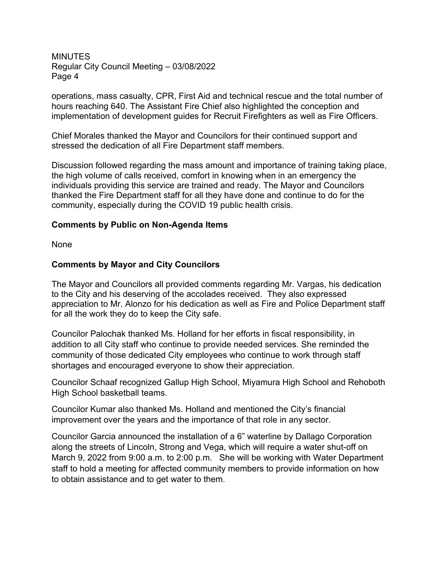operations, mass casualty, CPR, First Aid and technical rescue and the total number of hours reaching 640. The Assistant Fire Chief also highlighted the conception and implementation of development guides for Recruit Firefighters as well as Fire Officers.

Chief Morales thanked the Mayor and Councilors for their continued support and stressed the dedication of all Fire Department staff members.

Discussion followed regarding the mass amount and importance of training taking place, the high volume of calls received, comfort in knowing when in an emergency the individuals providing this service are trained and ready. The Mayor and Councilors thanked the Fire Department staff for all they have done and continue to do for the community, especially during the COVID 19 public health crisis.

## **Comments by Public on Non-Agenda Items**

None

## **Comments by Mayor and City Councilors**

The Mayor and Councilors all provided comments regarding Mr. Vargas, his dedication to the City and his deserving of the accolades received. They also expressed appreciation to Mr. Alonzo for his dedication as well as Fire and Police Department staff for all the work they do to keep the City safe.

Councilor Palochak thanked Ms. Holland for her efforts in fiscal responsibility, in addition to all City staff who continue to provide needed services. She reminded the community of those dedicated City employees who continue to work through staff shortages and encouraged everyone to show their appreciation.

Councilor Schaaf recognized Gallup High School, Miyamura High School and Rehoboth High School basketball teams.

Councilor Kumar also thanked Ms. Holland and mentioned the City's financial improvement over the years and the importance of that role in any sector.

Councilor Garcia announced the installation of a 6" waterline by Dallago Corporation along the streets of Lincoln, Strong and Vega, which will require a water shut-off on March 9, 2022 from 9:00 a.m. to 2:00 p.m. She will be working with Water Department staff to hold a meeting for affected community members to provide information on how to obtain assistance and to get water to them.